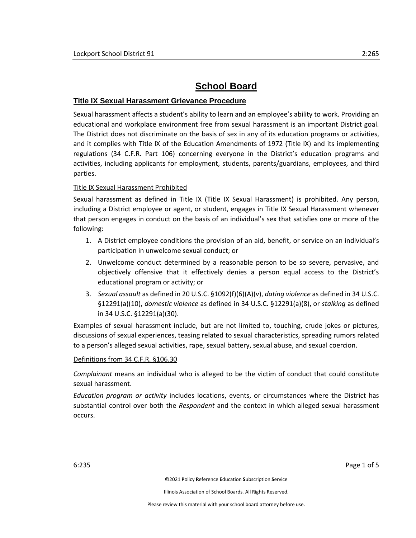# **School Board**

## **Title IX Sexual Harassment Grievance Procedure**

Sexual harassment affects a student's ability to learn and an employee's ability to work. Providing an educational and workplace environment free from sexual harassment is an important District goal. The District does not discriminate on the basis of sex in any of its education programs or activities, and it complies with Title IX of the Education Amendments of 1972 (Title IX) and its implementing regulations (34 C.F.R. Part 106) concerning everyone in the District's education programs and activities, including applicants for employment, students, parents/guardians, employees, and third parties.

## Title IX Sexual Harassment Prohibited

Sexual harassment as defined in Title IX (Title IX Sexual Harassment) is prohibited. Any person, including a District employee or agent, or student, engages in Title IX Sexual Harassment whenever that person engages in conduct on the basis of an individual's sex that satisfies one or more of the following:

- 1. A District employee conditions the provision of an aid, benefit, or service on an individual's participation in unwelcome sexual conduct; or
- 2. Unwelcome conduct determined by a reasonable person to be so severe, pervasive, and objectively offensive that it effectively denies a person equal access to the District's educational program or activity; or
- 3. *Sexual assault* as defined in 20 U.S.C. §1092(f)(6)(A)(v), *dating violence* as defined in 34 U.S.C. §12291(a)(10), *domestic violence* as defined in 34 U.S.C. §12291(a)(8), or *stalking* as defined in 34 U.S.C. §12291(a)(30).

Examples of sexual harassment include, but are not limited to, touching, crude jokes or pictures, discussions of sexual experiences, teasing related to sexual characteristics, spreading rumors related to a person's alleged sexual activities, rape, sexual battery, sexual abuse, and sexual coercion.

#### Definitions from 34 C.F.R. §106.30

*Complainant* means an individual who is alleged to be the victim of conduct that could constitute sexual harassment.

*Education program or activity* includes locations, events, or circumstances where the District has substantial control over both the *Respondent* and the context in which alleged sexual harassment occurs.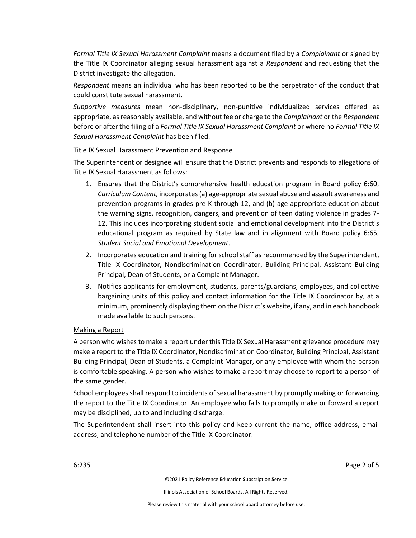*Formal Title IX Sexual Harassment Complaint* means a document filed by a *Complainant* or signed by the Title IX Coordinator alleging sexual harassment against a *Respondent* and requesting that the District investigate the allegation.

*Respondent* means an individual who has been reported to be the perpetrator of the conduct that could constitute sexual harassment.

*Supportive measures* mean non-disciplinary, non-punitive individualized services offered as appropriate, as reasonably available, and without fee or charge to the *Complainant* or the *Respondent* before or after the filing of a *Formal Title IX Sexual Harassment Complaint* or where no *Formal Title IX Sexual Harassment Complaint* has been filed.

### Title IX Sexual Harassment Prevention and Response

The Superintendent or designee will ensure that the District prevents and responds to allegations of Title IX Sexual Harassment as follows:

- 1. Ensures that the District's comprehensive health education program in Board policy 6:60, *Curriculum Content,* incorporates(a) age-appropriate sexual abuse and assault awareness and prevention programs in grades pre-K through 12, and (b) age-appropriate education about the warning signs, recognition, dangers, and prevention of teen dating violence in grades 7- 12. This includes incorporating student social and emotional development into the District's educational program as required by State law and in alignment with Board policy 6:65, *Student Social and Emotional Development*.
- 2. Incorporates education and training for school staff as recommended by the Superintendent, Title IX Coordinator, Nondiscrimination Coordinator, Building Principal, Assistant Building Principal, Dean of Students, or a Complaint Manager.
- 3. Notifies applicants for employment, students, parents/guardians, employees, and collective bargaining units of this policy and contact information for the Title IX Coordinator by, at a minimum, prominently displaying them on the District's website, if any, and in each handbook made available to such persons.

## Making a Report

A person who wishes to make a report under this Title IX Sexual Harassment grievance procedure may make a report to the Title IX Coordinator, Nondiscrimination Coordinator, Building Principal, Assistant Building Principal, Dean of Students, a Complaint Manager, or any employee with whom the person is comfortable speaking. A person who wishes to make a report may choose to report to a person of the same gender.

School employees shall respond to incidents of sexual harassment by promptly making or forwarding the report to the Title IX Coordinator. An employee who fails to promptly make or forward a report may be disciplined, up to and including discharge.

The Superintendent shall insert into this policy and keep current the name, office address, email address, and telephone number of the Title IX Coordinator.

6:235 Page 2 of 5

©2021 **P**olicy **R**eference **E**ducation **S**ubscription **S**ervice

Illinois Association of School Boards. All Rights Reserved.

Please review this material with your school board attorney before use.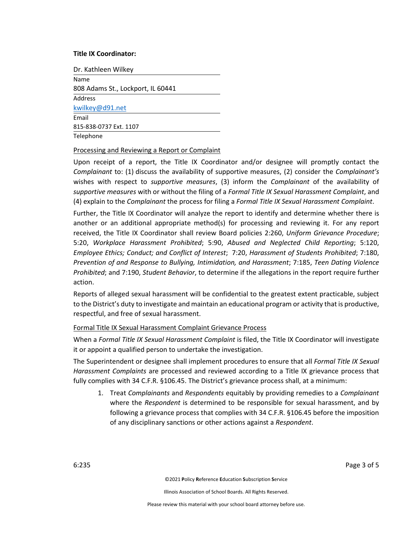#### **Title IX Coordinator:**

Dr. Kathleen Wilkey

Name 808 Adams St., Lockport, IL 60441 Address [kwilkey@d91.net](mailto:kwilkey@d91.net) Email 815-838-0737 Ext. 1107 **Telephone** 

#### Processing and Reviewing a Report or Complaint

Upon receipt of a report, the Title IX Coordinator and/or designee will promptly contact the *Complainant* to: (1) discuss the availability of supportive measures, (2) consider the *Complainant's* wishes with respect to *supportive measures*, (3) inform the *Complainant* of the availability of *supportive measures* with or without the filing of a *Formal Title IX Sexual Harassment Complaint*, and (4) explain to the *Complainant* the process for filing a *Formal Title IX Sexual Harassment Complaint*.

Further, the Title IX Coordinator will analyze the report to identify and determine whether there is another or an additional appropriate method(s) for processing and reviewing it. For any report received, the Title IX Coordinator shall review Board policies 2:260, *Uniform Grievance Procedure*; 5:20, *Workplace Harassment Prohibited*; 5:90, *Abused and Neglected Child Reporting*; 5:120, *Employee Ethics; Conduct; and Conflict of Interest*; 7:20, *Harassment of Students Prohibited*; 7:180, *Prevention of and Response to Bullying, Intimidation, and Harassment*; 7:185, *Teen Dating Violence Prohibited*; and 7:190, *Student Behavior*, to determine if the allegations in the report require further action.

Reports of alleged sexual harassment will be confidential to the greatest extent practicable, subject to the District's duty to investigate and maintain an educational program or activity that is productive, respectful, and free of sexual harassment.

## Formal Title IX Sexual Harassment Complaint Grievance Process

When a *Formal Title IX Sexual Harassment Complaint* is filed, the Title IX Coordinator will investigate it or appoint a qualified person to undertake the investigation.

The Superintendent or designee shall implement procedures to ensure that all *Formal Title IX Sexual Harassment Complaints* are processed and reviewed according to a Title IX grievance process that fully complies with 34 C.F.R. §106.45. The District's grievance process shall, at a minimum:

1. Treat *Complainants* and *Respondents* equitably by providing remedies to a *Complainant* where the *Respondent* is determined to be responsible for sexual harassment, and by following a grievance process that complies with 34 C.F.R. §106.45 before the imposition of any disciplinary sanctions or other actions against a *Respondent*.

6:235 Page 3 of 5

©2021 **P**olicy **R**eference **E**ducation **S**ubscription **S**ervice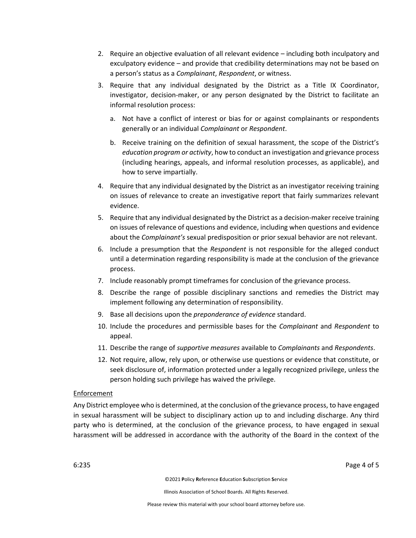- 2. Require an objective evaluation of all relevant evidence including both inculpatory and exculpatory evidence – and provide that credibility determinations may not be based on a person's status as a *Complainant*, *Respondent*, or witness.
- 3. Require that any individual designated by the District as a Title IX Coordinator, investigator, decision-maker, or any person designated by the District to facilitate an informal resolution process:
	- a. Not have a conflict of interest or bias for or against complainants or respondents generally or an individual *Complainant* or *Respondent*.
	- b. Receive training on the definition of sexual harassment, the scope of the District's *education program or activity*, how to conduct an investigation and grievance process (including hearings, appeals, and informal resolution processes, as applicable), and how to serve impartially.
- 4. Require that any individual designated by the District as an investigator receiving training on issues of relevance to create an investigative report that fairly summarizes relevant evidence.
- 5. Require that any individual designated by the District as a decision-maker receive training on issues of relevance of questions and evidence, including when questions and evidence about the *Complainant's* sexual predisposition or prior sexual behavior are not relevant.
- 6. Include a presumption that the *Respondent* is not responsible for the alleged conduct until a determination regarding responsibility is made at the conclusion of the grievance process.
- 7. Include reasonably prompt timeframes for conclusion of the grievance process.
- 8. Describe the range of possible disciplinary sanctions and remedies the District may implement following any determination of responsibility.
- 9. Base all decisions upon the *preponderance of evidence* standard.
- 10. Include the procedures and permissible bases for the *Complainant* and *Respondent* to appeal.
- 11. Describe the range of *supportive measures* available to *Complainants* and *Respondents*.
- 12. Not require, allow, rely upon, or otherwise use questions or evidence that constitute, or seek disclosure of, information protected under a legally recognized privilege, unless the person holding such privilege has waived the privilege.

## Enforcement

Any District employee who is determined, at the conclusion of the grievance process, to have engaged in sexual harassment will be subject to disciplinary action up to and including discharge. Any third party who is determined, at the conclusion of the grievance process, to have engaged in sexual harassment will be addressed in accordance with the authority of the Board in the context of the

6:235 Page 4 of 5

©2021 **P**olicy **R**eference **E**ducation **S**ubscription **S**ervice